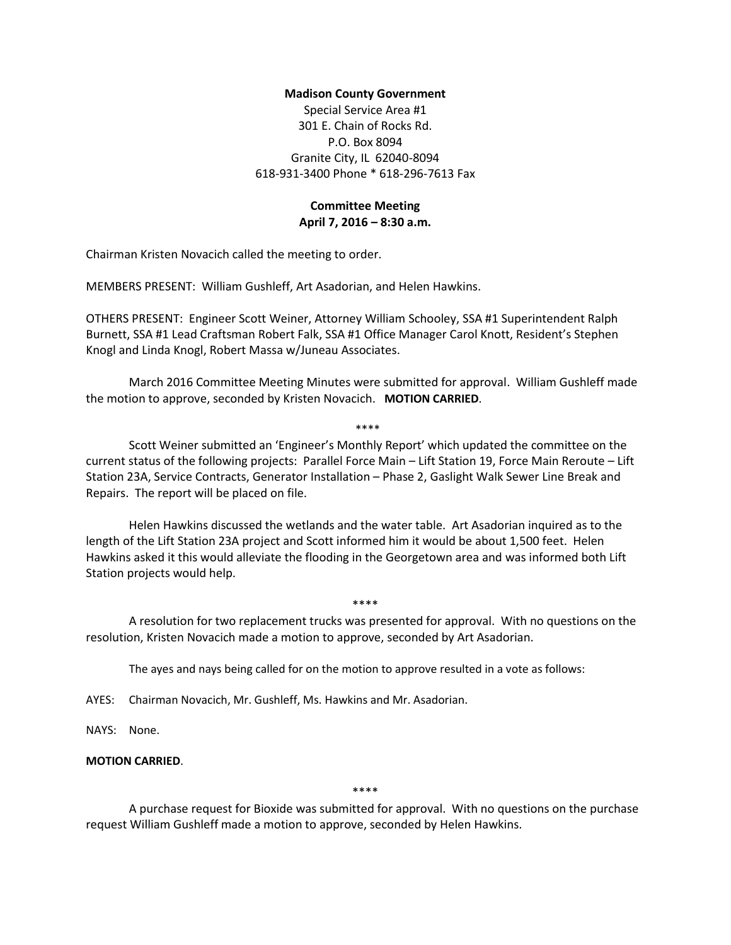## **Madison County Government**

Special Service Area #1 301 E. Chain of Rocks Rd. P.O. Box 8094 Granite City, IL 62040-8094 618-931-3400 Phone \* 618-296-7613 Fax

# **Committee Meeting April 7, 2016 – 8:30 a.m.**

Chairman Kristen Novacich called the meeting to order.

MEMBERS PRESENT: William Gushleff, Art Asadorian, and Helen Hawkins.

OTHERS PRESENT: Engineer Scott Weiner, Attorney William Schooley, SSA #1 Superintendent Ralph Burnett, SSA #1 Lead Craftsman Robert Falk, SSA #1 Office Manager Carol Knott, Resident's Stephen Knogl and Linda Knogl, Robert Massa w/Juneau Associates.

March 2016 Committee Meeting Minutes were submitted for approval. William Gushleff made the motion to approve, seconded by Kristen Novacich. **MOTION CARRIED**.

\*\*\*\*

Scott Weiner submitted an 'Engineer's Monthly Report' which updated the committee on the current status of the following projects: Parallel Force Main – Lift Station 19, Force Main Reroute – Lift Station 23A, Service Contracts, Generator Installation – Phase 2, Gaslight Walk Sewer Line Break and Repairs. The report will be placed on file.

Helen Hawkins discussed the wetlands and the water table. Art Asadorian inquired as to the length of the Lift Station 23A project and Scott informed him it would be about 1,500 feet. Helen Hawkins asked it this would alleviate the flooding in the Georgetown area and was informed both Lift Station projects would help.

A resolution for two replacement trucks was presented for approval. With no questions on the resolution, Kristen Novacich made a motion to approve, seconded by Art Asadorian.

\*\*\*\*

The ayes and nays being called for on the motion to approve resulted in a vote as follows:

AYES: Chairman Novacich, Mr. Gushleff, Ms. Hawkins and Mr. Asadorian.

NAYS: None.

# **MOTION CARRIED**.

\*\*\*\*

A purchase request for Bioxide was submitted for approval. With no questions on the purchase request William Gushleff made a motion to approve, seconded by Helen Hawkins.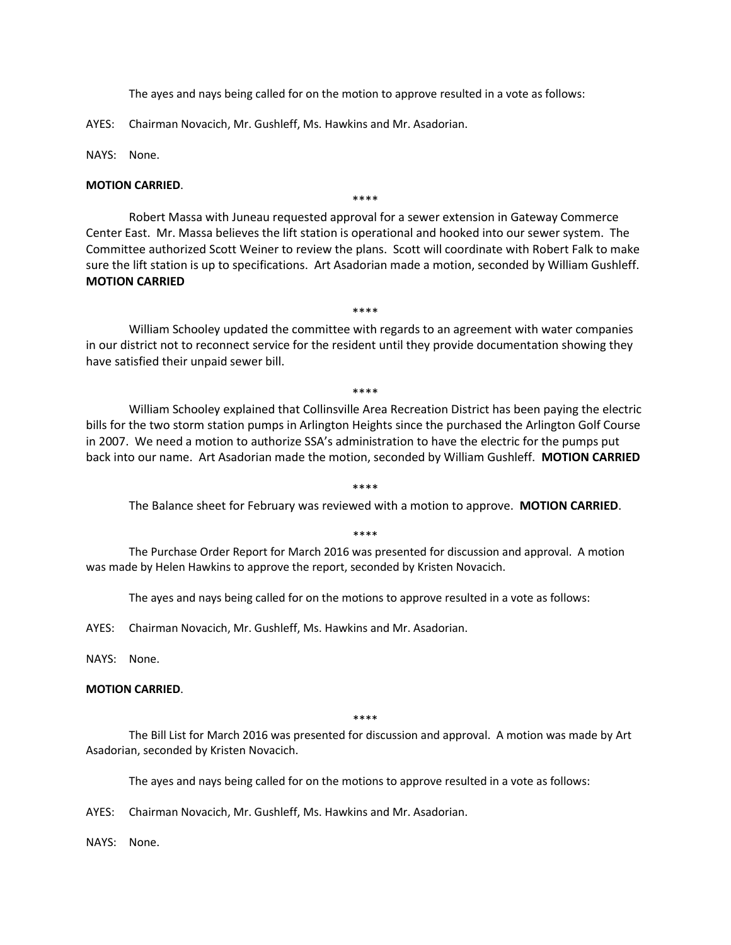The ayes and nays being called for on the motion to approve resulted in a vote as follows:

AYES: Chairman Novacich, Mr. Gushleff, Ms. Hawkins and Mr. Asadorian.

NAYS: None.

### **MOTION CARRIED**.

Robert Massa with Juneau requested approval for a sewer extension in Gateway Commerce Center East. Mr. Massa believes the lift station is operational and hooked into our sewer system. The Committee authorized Scott Weiner to review the plans. Scott will coordinate with Robert Falk to make sure the lift station is up to specifications. Art Asadorian made a motion, seconded by William Gushleff. **MOTION CARRIED**

\*\*\*\*

\*\*\*\*

William Schooley updated the committee with regards to an agreement with water companies in our district not to reconnect service for the resident until they provide documentation showing they have satisfied their unpaid sewer bill.

\*\*\*\*

William Schooley explained that Collinsville Area Recreation District has been paying the electric bills for the two storm station pumps in Arlington Heights since the purchased the Arlington Golf Course in 2007. We need a motion to authorize SSA's administration to have the electric for the pumps put back into our name. Art Asadorian made the motion, seconded by William Gushleff. **MOTION CARRIED**

#### \*\*\*\*

The Balance sheet for February was reviewed with a motion to approve. **MOTION CARRIED**.

\*\*\*\*

The Purchase Order Report for March 2016 was presented for discussion and approval. A motion was made by Helen Hawkins to approve the report, seconded by Kristen Novacich.

The ayes and nays being called for on the motions to approve resulted in a vote as follows:

AYES: Chairman Novacich, Mr. Gushleff, Ms. Hawkins and Mr. Asadorian.

NAYS: None.

#### **MOTION CARRIED**.

\*\*\*\*

The Bill List for March 2016 was presented for discussion and approval. A motion was made by Art Asadorian, seconded by Kristen Novacich.

The ayes and nays being called for on the motions to approve resulted in a vote as follows:

AYES: Chairman Novacich, Mr. Gushleff, Ms. Hawkins and Mr. Asadorian.

NAYS: None.